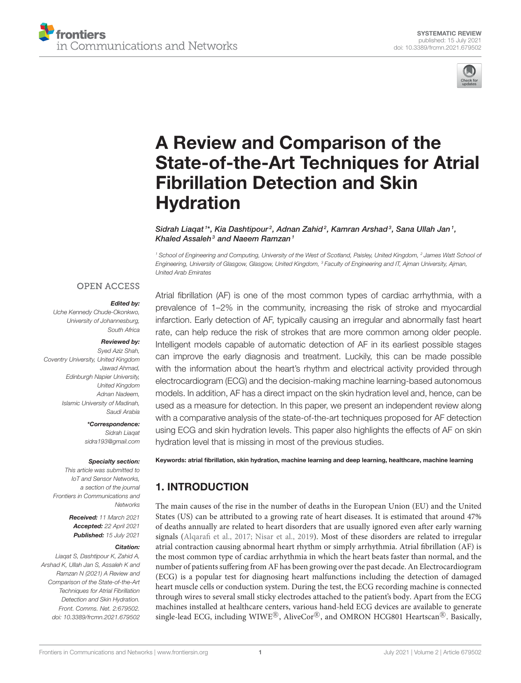



# A Review and Comparison of the State-of-the-Art Techniques for Atrial Fibrillation Detection and Skin **Hydration**

Sidrah Liaqat  $^{\text{1*}}$ , Kia Dashtipour $^2$ , Adnan Zahid $^2$ , Kamran Arshad $^3$ , Sana Ullah Jan  $^1$ , Khaled Assaleh $3$  and Naeem Ramzan<sup>1</sup>

*<sup>1</sup> School of Engineering and Computing, University of the West of Scotland, Paisley, United Kingdom, <sup>2</sup> James Watt School of Engineering, University of Glasgow, Glasgow, United Kingdom, <sup>3</sup> Faculty of Engineering and IT, Ajman University, Ajman, United Arab Emirates*

#### **OPEN ACCESS**

#### Edited by:

*Uche Kennedy Chude-Okonkwo, University of Johannesburg, South Africa*

#### Reviewed by:

*Syed Aziz Shah, Coventry University, United Kingdom Jawad Ahmad, Edinburgh Napier University, United Kingdom Adnan Nadeem, Islamic University of Madinah, Saudi Arabia*

> \*Correspondence: *Sidrah Liaqat sidra193@gmail.com*

#### Specialty section:

*This article was submitted to IoT and Sensor Networks, a section of the journal Frontiers in Communications and Networks*

> Received: *11 March 2021* Accepted: *22 April 2021* Published: *15 July 2021*

#### Citation:

*Liaqat S, Dashtipour K, Zahid A, Arshad K, Ullah Jan S, Assaleh K and Ramzan N (2021) A Review and Comparison of the State-of-the-Art Techniques for Atrial Fibrillation Detection and Skin Hydration. Front. Comms. Net. 2:679502. doi: 10.3389/frcmn.2021.679502*

Atrial fibrillation (AF) is one of the most common types of cardiac arrhythmia, with a prevalence of 1–2% in the community, increasing the risk of stroke and myocardial infarction. Early detection of AF, typically causing an irregular and abnormally fast heart rate, can help reduce the risk of strokes that are more common among older people. Intelligent models capable of automatic detection of AF in its earliest possible stages can improve the early diagnosis and treatment. Luckily, this can be made possible with the information about the heart's rhythm and electrical activity provided through electrocardiogram (ECG) and the decision-making machine learning-based autonomous models. In addition, AF has a direct impact on the skin hydration level and, hence, can be used as a measure for detection. In this paper, we present an independent review along with a comparative analysis of the state-of-the-art techniques proposed for AF detection using ECG and skin hydration levels. This paper also highlights the effects of AF on skin hydration level that is missing in most of the previous studies.

Keywords: atrial fibrillation, skin hydration, machine learning and deep learning, healthcare, machine learning

# 1. INTRODUCTION

The main causes of the rise in the number of deaths in the European Union (EU) and the United States (US) can be attributed to a growing rate of heart diseases. It is estimated that around 47% of deaths annually are related to heart disorders that are usually ignored even after early warning signals (Alqarafi et al., 2017; Nisar et al., 2019). Most of these disorders are related to irregular atrial contraction causing abnormal heart rhythm or simply arrhythmia. Atrial fibrillation (AF) is the most common type of cardiac arrhythmia in which the heart beats faster than normal, and the number of patients suffering from AF has been growing over the past decade. An Electrocardiogram (ECG) is a popular test for diagnosing heart malfunctions including the detection of damaged heart muscle cells or conduction system. During the test, the ECG recording machine is connected through wires to several small sticky electrodes attached to the patient's body. Apart from the ECG machines installed at healthcare centers, various hand-held ECG devices are available to generate single-lead ECG, including WIWE®, AliveCor®, and OMRON HCG801 Heartscan®. Basically,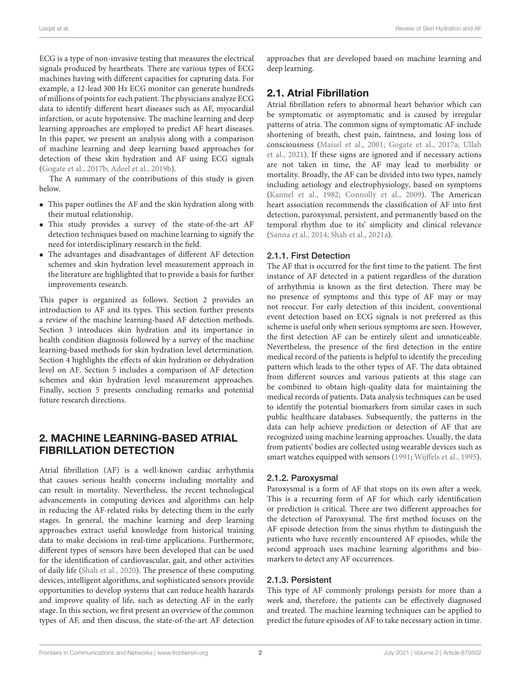ECG is a type of non-invasive testing that measures the electrical signals produced by heartbeats. There are various types of ECG machines having with different capacities for capturing data. For example, a 12-lead 300 Hz ECG monitor can generate hundreds of millions of points for each patient. The physicians analyze ECG data to identify different heart diseases such as AF, myocardial infarction, or acute hypotensive. The machine learning and deep learning approaches are employed to predict AF heart diseases. In this paper, we present an analysis along with a comparison of machine learning and deep learning based approaches for detection of these skin hydration and AF using ECG signals (Gogate et al., 2017b; Adeel et al., 2019b).

The A summary of the contributions of this study is given below.

- This paper outlines the AF and the skin hydration along with their mutual relationship.
- This study provides a survey of the state-of-the-art AF detection techniques based on machine learning to signify the need for interdisciplinary research in the field.
- The advantages and disadvantages of different AF detection schemes and skin hydration level measurement approach in the literature are highlighted that to provide a basis for further improvements research.

This paper is organized as follows. Section 2 provides an introduction to AF and its types. This section further presents a review of the machine learning-based AF detection methods. Section 3 introduces skin hydration and its importance in health condition diagnosis followed by a survey of the machine learning-based methods for skin hydration level determination. Section 4 highlights the effects of skin hydration or dehydration level on AF. Section 5 includes a comparison of AF detection schemes and skin hydration level measurement approaches. Finally, section 5 presents concluding remarks and potential future research directions.

# 2. MACHINE LEARNING-BASED ATRIAL FIBRILLATION DETECTION

Atrial fibrillation (AF) is a well-known cardiac arrhythmia that causes serious health concerns including mortality and can result in mortality. Nevertheless, the recent technological advancements in computing devices and algorithms can help in reducing the AF-related risks by detecting them in the early stages. In general, the machine learning and deep learning approaches extract useful knowledge from historical training data to make decisions in real-time applications. Furthermore, different types of sensors have been developed that can be used for the identification of cardiovascular, gait, and other activities of daily life (Shah et al., 2020). The presence of these computing devices, intelligent algorithms, and sophisticated sensors provide opportunities to develop systems that can reduce health hazards and improve quality of life, such as detecting AF in the early stage. In this section, we first present an overview of the common types of AF, and then discuss, the state-of-the-art AF detection approaches that are developed based on machine learning and deep learning.

# 2.1. Atrial Fibrillation

Atrial fibrillation refers to abnormal heart behavior which can be symptomatic or asymptomatic and is caused by irregular patterns of atria. The common signs of symptomatic AF include shortening of breath, chest pain, faintness, and losing loss of consciousness (Maisel et al., 2001; Gogate et al., 2017a; Ullah et al., 2021). If these signs are ignored and if necessary actions are not taken in time, the AF may lead to morbidity or mortality. Broadly, the AF can be divided into two types, namely including aetiology and electrophysiology, based on symptoms (Kannel et al., 1982; Connolly et al., 2009). The American heart association recommends the classification of AF into first detection, paroxysmal, persistent, and permanently based on the temporal rhythm due to its' simplicity and clinical relevance (Sanna et al., 2014; Shah et al., 2021a).

### 2.1.1. First Detection

The AF that is occurred for the first time to the patient. The first instance of AF detected in a patient regardless of the duration of arrhythmia is known as the first detection. There may be no presence of symptoms and this type of AF may or may not reoccur. For early detection of this incident, conventional event detection based on ECG signals is not preferred as this scheme is useful only when serious symptoms are seen. However, the first detection AF can be entirely silent and unnoticeable. Nevertheless, the presence of the first detection in the entire medical record of the patients is helpful to identify the preceding pattern which leads to the other types of AF. The data obtained from different sources and various patients at this stage can be combined to obtain high-quality data for maintaining the medical records of patients. Data analysis techniques can be used to identify the potential biomarkers from similar cases in such public healthcare databases. Subsequently, the patterns in the data can help achieve prediction or detection of AF that are recognized using machine learning approaches. Usually, the data from patients' bodies are collected using wearable devices such as smart watches equipped with sensors (1991; Wijffels et al., 1995).

#### 2.1.2. Paroxysmal

Paroxysmal is a form of AF that stops on its own after a week. This is a recurring form of AF for which early identification or prediction is critical. There are two different approaches for the detection of Paroxysmal. The first method focuses on the AF episode detection from the sinus rhythm to distinguish the patients who have recently encountered AF episodes, while the second approach uses machine learning algorithms and biomarkers to detect any AF occurrences.

#### 2.1.3. Persistent

This type of AF commonly prolongs persists for more than a week and, therefore, the patients can be effectively diagnosed and treated. The machine learning techniques can be applied to predict the future episodes of AF to take necessary action in time.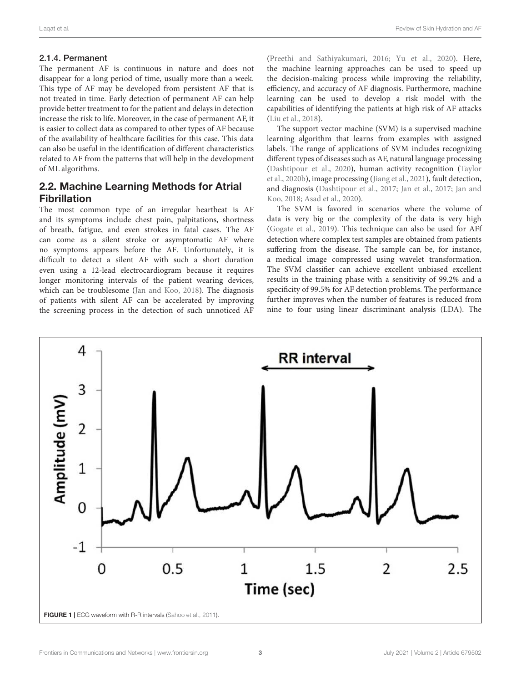#### 2.1.4. Permanent

The permanent AF is continuous in nature and does not disappear for a long period of time, usually more than a week. This type of AF may be developed from persistent AF that is not treated in time. Early detection of permanent AF can help provide better treatment to for the patient and delays in detection increase the risk to life. Moreover, in the case of permanent AF, it is easier to collect data as compared to other types of AF because of the availability of healthcare facilities for this case. This data can also be useful in the identification of different characteristics related to AF from the patterns that will help in the development of ML algorithms.

# 2.2. Machine Learning Methods for Atrial Fibrillation

The most common type of an irregular heartbeat is AF and its symptoms include chest pain, palpitations, shortness of breath, fatigue, and even strokes in fatal cases. The AF can come as a silent stroke or asymptomatic AF where no symptoms appears before the AF. Unfortunately, it is difficult to detect a silent AF with such a short duration even using a 12-lead electrocardiogram because it requires longer monitoring intervals of the patient wearing devices, which can be troublesome (Jan and Koo, 2018). The diagnosis of patients with silent AF can be accelerated by improving the screening process in the detection of such unnoticed AF (Preethi and Sathiyakumari, 2016; Yu et al., 2020). Here, the machine learning approaches can be used to speed up the decision-making process while improving the reliability, efficiency, and accuracy of AF diagnosis. Furthermore, machine learning can be used to develop a risk model with the capabilities of identifying the patients at high risk of AF attacks (Liu et al., 2018).

The support vector machine (SVM) is a supervised machine learning algorithm that learns from examples with assigned labels. The range of applications of SVM includes recognizing different types of diseases such as AF, natural language processing (Dashtipour et al., 2020), human activity recognition (Taylor et al., 2020b), image processing (Jiang et al., 2021), fault detection, and diagnosis (Dashtipour et al., 2017; Jan et al., 2017; Jan and Koo, 2018; Asad et al., 2020).

The SVM is favored in scenarios where the volume of data is very big or the complexity of the data is very high (Gogate et al., 2019). This technique can also be used for AFf detection where complex test samples are obtained from patients suffering from the disease. The sample can be, for instance, a medical image compressed using wavelet transformation. The SVM classifier can achieve excellent unbiased excellent results in the training phase with a sensitivity of 99.2% and a specificity of 99.5% for AF detection problems. The performance further improves when the number of features is reduced from nine to four using linear discriminant analysis (LDA). The

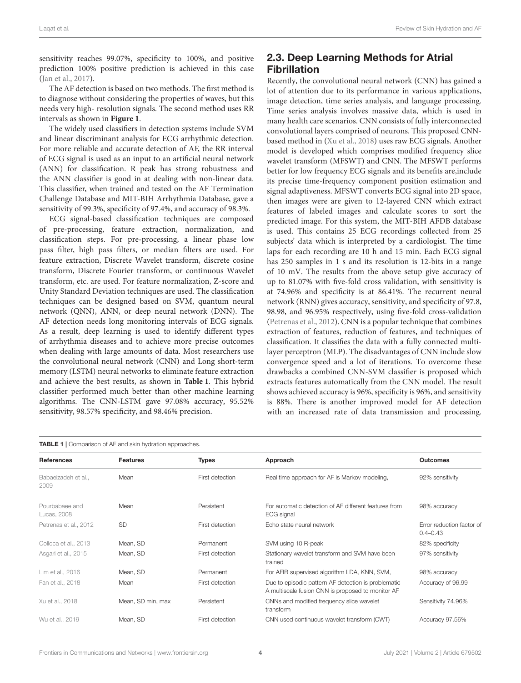sensitivity reaches 99.07%, specificity to 100%, and positive prediction 100% positive prediction is achieved in this case (Jan et al., 2017).

The AF detection is based on two methods. The first method is to diagnose without considering the properties of waves, but this needs very high- resolution signals. The second method uses RR intervals as shown in **Figure 1**.

The widely used classifiers in detection systems include SVM and linear discriminant analysis for ECG arrhythmic detection. For more reliable and accurate detection of AF, the RR interval of ECG signal is used as an input to an artificial neural network (ANN) for classification. R peak has strong robustness and the ANN classifier is good in at dealing with non-linear data. This classifier, when trained and tested on the AF Termination Challenge Database and MIT-BIH Arrhythmia Database, gave a sensitivity of 99.3%, specificity of 97.4%, and accuracy of 98.3%.

ECG signal-based classification techniques are composed of pre-processing, feature extraction, normalization, and classification steps. For pre-processing, a linear phase low pass filter, high pass filters, or median filters are used. For feature extraction, Discrete Wavelet transform, discrete cosine transform, Discrete Fourier transform, or continuous Wavelet transform, etc. are used. For feature normalization, Z-score and Unity Standard Deviation techniques are used. The classification techniques can be designed based on SVM, quantum neural network (QNN), ANN, or deep neural network (DNN). The AF detection needs long monitoring intervals of ECG signals. As a result, deep learning is used to identify different types of arrhythmia diseases and to achieve more precise outcomes when dealing with large amounts of data. Most researchers use the convolutional neural network (CNN) and Long short-term memory (LSTM) neural networks to eliminate feature extraction and achieve the best results, as shown in **Table 1**. This hybrid classifier performed much better than other machine learning algorithms. The CNN-LSTM gave 97.08% accuracy, 95.52% sensitivity, 98.57% specificity, and 98.46% precision.

# 2.3. Deep Learning Methods for Atrial Fibrillation

Recently, the convolutional neural network (CNN) has gained a lot of attention due to its performance in various applications, image detection, time series analysis, and language processing. Time series analysis involves massive data, which is used in many health care scenarios. CNN consists of fully interconnected convolutional layers comprised of neurons. This proposed CNNbased method in (Xu et al., 2018) uses raw ECG signals. Another model is developed which comprises modified frequency slice wavelet transform (MFSWT) and CNN. The MFSWT performs better for low frequency ECG signals and its benefits are,include its precise time-frequency component position estimation and signal adaptiveness. MFSWT converts ECG signal into 2D space, then images were are given to 12-layered CNN which extract features of labeled images and calculate scores to sort the predicted image. For this system, the MIT-BIH AFDB database is used. This contains 25 ECG recordings collected from 25 subjects' data which is interpreted by a cardiologist. The time laps for each recording are 10 h and 15 min. Each ECG signal has 250 samples in 1 s and its resolution is 12-bits in a range of 10 mV. The results from the above setup give accuracy of up to 81.07% with five-fold cross validation, with sensitivity is at 74.96% and specificity is at 86.41%. The recurrent neural network (RNN) gives accuracy, sensitivity, and specificity of 97.8, 98.98, and 96.95% respectively, using five-fold cross-validation (Petrenas et al., 2012). CNN is a popular technique that combines extraction of features, reduction of features, and techniques of classification. It classifies the data with a fully connected multilayer perceptron (MLP). The disadvantages of CNN include slow convergence speed and a lot of iterations. To overcome these drawbacks a combined CNN-SVM classifier is proposed which extracts features automatically from the CNN model. The result shows achieved accuracy is 96%, specificity is 96%, and sensitivity is 88%. There is another improved model for AF detection with an increased rate of data transmission and processing.

| <b>TABLE 1</b>   Comparison of AF and skin hydration approaches. |                   |                 |                                                                                                                               |                                           |
|------------------------------------------------------------------|-------------------|-----------------|-------------------------------------------------------------------------------------------------------------------------------|-------------------------------------------|
| <b>References</b>                                                | <b>Features</b>   | <b>Types</b>    | Approach                                                                                                                      | <b>Outcomes</b>                           |
| Babaeizadeh et al<br>2009                                        | Mean              | First detection | Real time approach for AF is Markov modeling,                                                                                 | 92% sensitivity                           |
| Pourbabaee and<br>Lucas, 2008                                    | Mean              | Persistent      | For automatic detection of AF different features from<br>ECG signal                                                           | 98% accuracy                              |
| Petrenas et al., 2012                                            | <b>SD</b>         | First detection | Echo state neural network                                                                                                     | Error reduction factor of<br>$0.4 - 0.43$ |
| Colloca et al., 2013                                             | Mean, SD          | Permanent       | SVM using 10 R-peak                                                                                                           | 82% specificity                           |
| Asgari et al., 2015                                              | Mean, SD          | First detection | Stationary wavelet transform and SVM have been<br>trained                                                                     | 97% sensitivity                           |
| Lim et al., 2016                                                 | Mean, SD          | Permanent       | For AFIB supervised algorithm LDA, KNN, SVM,                                                                                  | 98% accuracy                              |
| Fan et al., 2018                                                 | Mean              | First detection | Due to episodic pattern AF detection is problematic<br>Accuracy of 96.99<br>A multiscale fusion CNN is proposed to monitor AF |                                           |
| Xu et al., 2018                                                  | Mean, SD min, max | Persistent      | CNNs and modified frequency slice wavelet<br>transform                                                                        | Sensitivity 74.96%                        |
| Wu et al., 2019                                                  | Mean, SD          | First detection | CNN used continuous wavelet transform (CWT)                                                                                   | Accuracy 97.56%                           |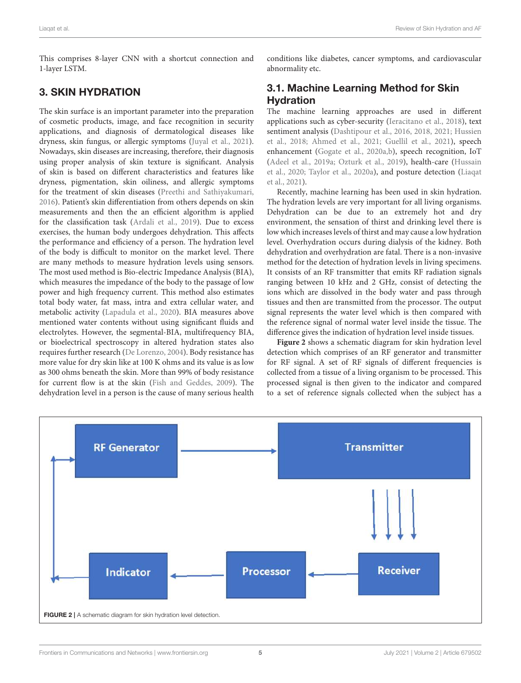This comprises 8-layer CNN with a shortcut connection and 1-layer LSTM.

# 3. SKIN HYDRATION

The skin surface is an important parameter into the preparation of cosmetic products, image, and face recognition in security applications, and diagnosis of dermatological diseases like dryness, skin fungus, or allergic symptoms (Juyal et al., 2021). Nowadays, skin diseases are increasing, therefore, their diagnosis using proper analysis of skin texture is significant. Analysis of skin is based on different characteristics and features like dryness, pigmentation, skin oiliness, and allergic symptoms for the treatment of skin diseases (Preethi and Sathiyakumari, 2016). Patient's skin differentiation from others depends on skin measurements and then the an efficient algorithm is applied for the classification task (Ardali et al., 2019). Due to excess exercises, the human body undergoes dehydration. This affects the performance and efficiency of a person. The hydration level of the body is difficult to monitor on the market level. There are many methods to measure hydration levels using sensors. The most used method is Bio-electric Impedance Analysis (BIA), which measures the impedance of the body to the passage of low power and high frequency current. This method also estimates total body water, fat mass, intra and extra cellular water, and metabolic activity (Lapadula et al., 2020). BIA measures above mentioned water contents without using significant fluids and electrolytes. However, the segmental-BIA, multifrequency BIA, or bioelectrical spectroscopy in altered hydration states also requires further research (De Lorenzo, 2004). Body resistance has more value for dry skin like at 100 K ohms and its value is as low as 300 ohms beneath the skin. More than 99% of body resistance for current flow is at the skin (Fish and Geddes, 2009). The dehydration level in a person is the cause of many serious health conditions like diabetes, cancer symptoms, and cardiovascular abnormality etc.

# 3.1. Machine Learning Method for Skin **Hydration**

The machine learning approaches are used in different applications such as cyber-security (Ieracitano et al., 2018), text sentiment analysis (Dashtipour et al., 2016, 2018, 2021; Hussien et al., 2018; Ahmed et al., 2021; Guellil et al., 2021), speech enhancement (Gogate et al., 2020a,b), speech recognition, IoT (Adeel et al., 2019a; Ozturk et al., 2019), health-care (Hussain et al., 2020; Taylor et al., 2020a), and posture detection (Liaqat et al., 2021).

Recently, machine learning has been used in skin hydration. The hydration levels are very important for all living organisms. Dehydration can be due to an extremely hot and dry environment, the sensation of thirst and drinking level there is low which increases levels of thirst and may cause a low hydration level. Overhydration occurs during dialysis of the kidney. Both dehydration and overhydration are fatal. There is a non-invasive method for the detection of hydration levels in living specimens. It consists of an RF transmitter that emits RF radiation signals ranging between 10 kHz and 2 GHz, consist of detecting the ions which are dissolved in the body water and pass through tissues and then are transmitted from the processor. The output signal represents the water level which is then compared with the reference signal of normal water level inside the tissue. The difference gives the indication of hydration level inside tissues.

**Figure 2** shows a schematic diagram for skin hydration level detection which comprises of an RF generator and transmitter for RF signal. A set of RF signals of different frequencies is collected from a tissue of a living organism to be processed. This processed signal is then given to the indicator and compared to a set of reference signals collected when the subject has a

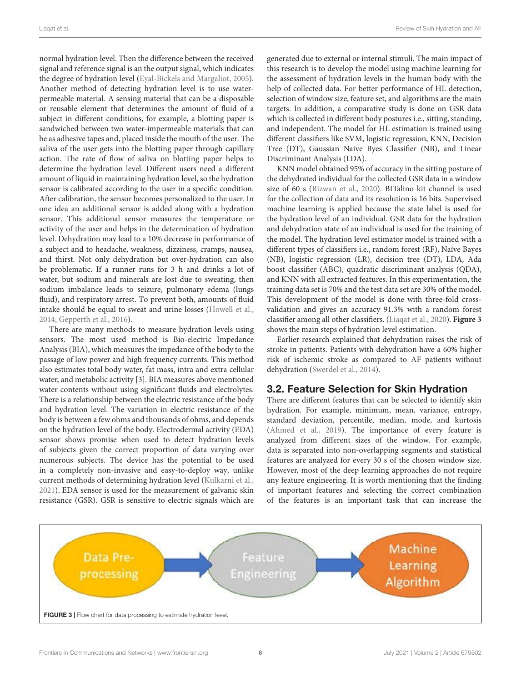normal hydration level. Then the difference between the received signal and reference signal is an the output signal, which indicates the degree of hydration level (Eyal-Bickels and Margaliot, 2005). Another method of detecting hydration level is to use waterpermeable material. A sensing material that can be a disposable or reusable element that determines the amount of fluid of a subject in different conditions, for example, a blotting paper is sandwiched between two water-impermeable materials that can be as adhesive tapes and, placed inside the mouth of the user. The saliva of the user gets into the blotting paper through capillary action. The rate of flow of saliva on blotting paper helps to determine the hydration level. Different users need a different amount of liquid in maintaining hydration level, so the hydration sensor is calibrated according to the user in a specific condition. After calibration, the sensor becomes personalized to the user. In one idea an additional sensor is added along with a hydration sensor. This additional sensor measures the temperature or activity of the user and helps in the determination of hydration level. Dehydration may lead to a 10% decrease in performance of a subject and to headache, weakness, dizziness, cramps, nausea, and thirst. Not only dehydration but over-hydration can also be problematic. If a runner runs for 3 h and drinks a lot of water, but sodium and minerals are lost due to sweating, then sodium imbalance leads to seizure, pulmonary edema (lungs fluid), and respiratory arrest. To prevent both, amounts of fluid intake should be equal to sweat and urine losses (Howell et al., 2014; Gepperth et al., 2016).

There are many methods to measure hydration levels using sensors. The most used method is Bio-electric Impedance Analysis (BIA), which measures the impedance of the body to the passage of low power and high frequency currents. This method also estimates total body water, fat mass, intra and extra cellular water, and metabolic activity [3]. BIA measures above mentioned water contents without using significant fluids and electrolytes. There is a relationship between the electric resistance of the body and hydration level. The variation in electric resistance of the body is between a few ohms and thousands of ohms, and depends on the hydration level of the body. Electrodermal activity (EDA) sensor shows promise when used to detect hydration levels of subjects given the correct proportion of data varying over numerous subjects. The device has the potential to be used in a completely non-invasive and easy-to-deploy way, unlike current methods of determining hydration level (Kulkarni et al., 2021). EDA sensor is used for the measurement of galvanic skin resistance (GSR). GSR is sensitive to electric signals which are generated due to external or internal stimuli. The main impact of this research is to develop the model using machine learning for the assessment of hydration levels in the human body with the help of collected data. For better performance of HL detection, selection of window size, feature set, and algorithms are the main targets. In addition, a comparative study is done on GSR data which is collected in different body postures i.e., sitting, standing, and independent. The model for HL estimation is trained using different classifiers like SVM, logistic regression, KNN, Decision Tree (DT), Gaussian Naive Byes Classifier (NB), and Linear Discriminant Analysis (LDA).

KNN model obtained 95% of accuracy in the sitting posture of the dehydrated individual for the collected GSR data in a window size of 60 s (Rizwan et al., 2020). BITalino kit channel is used for the collection of data and its resolution is 16 bits. Supervised machine learning is applied because the state label is used for the hydration level of an individual. GSR data for the hydration and dehydration state of an individual is used for the training of the model. The hydration level estimator model is trained with a different types of classifiers i.e., random forest (RF), Naïve Bayes (NB), logistic regression (LR), decision tree (DT), LDA, Ada boost classifier (ABC), quadratic discriminant analysis (QDA), and KNN with all extracted features. In this experimentation, the training data set is 70% and the test data set are 30% of the model. This development of the model is done with three-fold crossvalidation and gives an accuracy 91.3% with a random forest classifier among all other classifiers. (Liaqat et al., 2020). **Figure 3** shows the main steps of hydration level estimation.

Earlier research explained that dehydration raises the risk of stroke in patients. Patients with dehydration have a 60% higher risk of ischemic stroke as compared to AF patients without dehydration (Swerdel et al., 2014).

### 3.2. Feature Selection for Skin Hydration

There are different features that can be selected to identify skin hydration. For example, minimum, mean, variance, entropy, standard deviation, percentile, median, mode, and kurtosis (Ahmed et al., 2019). The importance of every feature is analyzed from different sizes of the window. For example, data is separated into non-overlapping segments and statistical features are analyzed for every 30 s of the chosen window size. However, most of the deep learning approaches do not require any feature engineering. It is worth mentioning that the finding of important features and selecting the correct combination of the features is an important task that can increase the

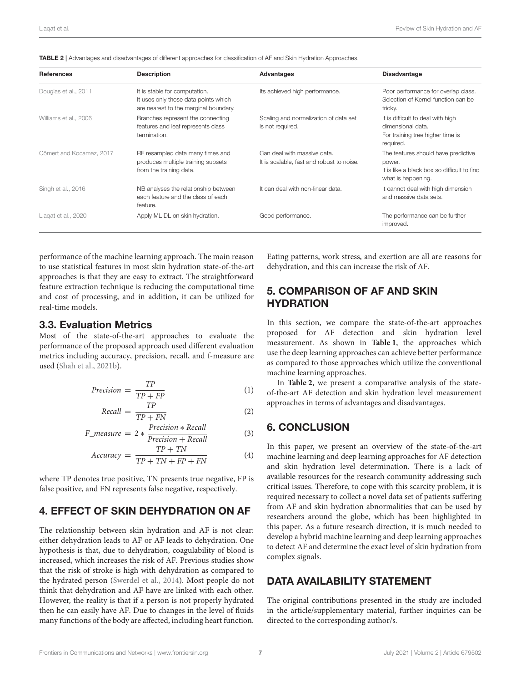| <b>References</b>        | <b>Description</b>                                                                                             | Advantages                                                               | <b>Disadvantage</b>                                                                                                |
|--------------------------|----------------------------------------------------------------------------------------------------------------|--------------------------------------------------------------------------|--------------------------------------------------------------------------------------------------------------------|
| Douglas et al., 2011     | It is stable for computation.<br>It uses only those data points which<br>are nearest to the marginal boundary. | Its achieved high performance.                                           | Poor performance for overlap class.<br>Selection of Kernel function can be<br>tricky.                              |
| Williams et al., 2006    | Branches represent the connecting<br>features and leaf represents class<br>termination.                        | Scaling and normalization of data set<br>is not required.                | It is difficult to deal with high<br>dimensional data.<br>For training tree higher time is<br>required.            |
| Cömert and Kocamaz, 2017 | RF resampled data many times and<br>produces multiple training subsets<br>from the training data.              | Can deal with massive data.<br>It is scalable, fast and robust to noise. | The features should have predictive<br>power.<br>It is like a black box so difficult to find<br>what is happening. |
| Singh et al., 2016       | NB analyses the relationship between<br>each feature and the class of each<br>feature.                         | It can deal with non-linear data.                                        | It cannot deal with high dimension<br>and massive data sets.                                                       |
| Liagat et al., 2020      | Apply ML DL on skin hydration.                                                                                 | Good performance.                                                        | The performance can be further<br>improved.                                                                        |

TABLE 2 | Advantages and disadvantages of different approaches for classification of AF and Skin Hydration Approaches.

performance of the machine learning approach. The main reason to use statistical features in most skin hydration state-of-the-art approaches is that they are easy to extract. The straightforward feature extraction technique is reducing the computational time and cost of processing, and in addition, it can be utilized for real-time models.

#### 3.3. Evaluation Metrics

Most of the state-of-the-art approaches to evaluate the performance of the proposed approach used different evaluation metrics including accuracy, precision, recall, and f-measure are used (Shah et al., 2021b).

$$
Precision = \frac{TP}{TP + FP}
$$
 (1)

$$
Recall = \frac{TP}{TP + FN}
$$
 (2)

$$
F_{\text{measure}} = 2 * \frac{\text{Precision} * \text{Recall}}{\text{Precision} + \text{Recall}} \tag{3}
$$

$$
Accuracy = \frac{TP + TN}{TP + TN + FP + FN}
$$
 (4)

where TP denotes true positive, TN presents true negative, FP is false positive, and FN represents false negative, respectively.

## 4. EFFECT OF SKIN DEHYDRATION ON AF

The relationship between skin hydration and AF is not clear: either dehydration leads to AF or AF leads to dehydration. One hypothesis is that, due to dehydration, coagulability of blood is increased, which increases the risk of AF. Previous studies show that the risk of stroke is high with dehydration as compared to the hydrated person (Swerdel et al., 2014). Most people do not think that dehydration and AF have are linked with each other. However, the reality is that if a person is not properly hydrated then he can easily have AF. Due to changes in the level of fluids many functions of the body are affected, including heart function.

Eating patterns, work stress, and exertion are all are reasons for dehydration, and this can increase the risk of AF.

# 5. COMPARISON OF AF AND SKIN **HYDRATION**

In this section, we compare the state-of-the-art approaches proposed for AF detection and skin hydration level measurement. As shown in **Table 1**, the approaches which use the deep learning approaches can achieve better performance as compared to those approaches which utilize the conventional machine learning approaches.

In **Table 2**, we present a comparative analysis of the stateof-the-art AF detection and skin hydration level measurement approaches in terms of advantages and disadvantages.

### 6. CONCLUSION

In this paper, we present an overview of the state-of-the-art machine learning and deep learning approaches for AF detection and skin hydration level determination. There is a lack of available resources for the research community addressing such critical issues. Therefore, to cope with this scarcity problem, it is required necessary to collect a novel data set of patients suffering from AF and skin hydration abnormalities that can be used by researchers around the globe, which has been highlighted in this paper. As a future research direction, it is much needed to develop a hybrid machine learning and deep learning approaches to detect AF and determine the exact level of skin hydration from complex signals.

# DATA AVAILABILITY STATEMENT

The original contributions presented in the study are included in the article/supplementary material, further inquiries can be directed to the corresponding author/s.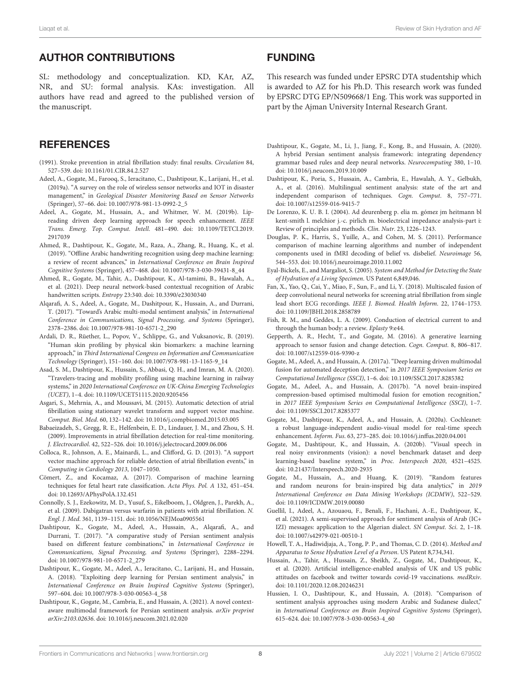# AUTHOR CONTRIBUTIONS

SL: methodology and conceptualization. KD, KAr, AZ, NR, and SU: formal analysis. KAs: investigation. All authors have read and agreed to the published version of the manuscript.

### **REFERENCES**

- (1991). Stroke prevention in atrial fibrillation study: final results. Circulation 84, 527–539. doi: 10.1161/01.CIR.84.2.527
- Adeel, A., Gogate, M., Farooq, S., Ieracitano, C., Dashtipour, K., Larijani, H., et al. (2019a). "A survey on the role of wireless sensor networks and IOT in disaster management," in Geological Disaster Monitoring Based on Sensor Networks (Springer), 57–66. doi: 10.1007/978-981-13-0992-2\_5
- Adeel, A., Gogate, M., Hussain, A., and Whitmer, W. M. (2019b). Lipreading driven deep learning approach for speech enhancement. IEEE Trans. Emerg. Top. Comput. Intell. 481–490. doi: 10.1109/TETCI.2019. 2917039
- Ahmed, R., Dashtipour, K., Gogate, M., Raza, A., Zhang, R., Huang, K., et al. (2019). "Offline Arabic handwriting recognition using deep machine learning: a review of recent advances," in International Conference on Brain Inspired Cognitive Systems (Springer), 457–468. doi: 10.1007/978-3-030-39431-8\_44
- Ahmed, R., Gogate, M., Tahir, A., Dashtipour, K., Al-tamimi, B., Hawalah, A., et al. (2021). Deep neural network-based contextual recognition of Arabic handwritten scripts. Entropy 23:340. doi: 10.3390/e23030340
- Alqarafi, A. S., Adeel, A., Gogate, M., Dashitpour, K., Hussain, A., and Durrani, T. (2017). "Toward's Arabic multi-modal sentiment analysis," in International Conference in Communications, Signal Processing, and Systems (Springer), 2378–2386. doi: 10.1007/978-981-10-6571-2\_290
- Ardali, D. R., Rüether, L., Popov, V., Schlippe, G., and Vuksanovic, B. (2019). "Human skin profiling by physical skin biomarkers: a machine learning approach," in Third International Congress on Information and Communication Technology (Springer), 151–160. doi: 10.1007/978-981-13-1165-9\_14
- Asad, S. M., Dashtipour, K., Hussain, S., Abbasi, Q. H., and Imran, M. A. (2020). "Travelers-tracing and mobility profiling using machine learning in railway systems," in 2020 International Conference on UK-China Emerging Technologies (UCET), 1–4. doi: 10.1109/UCET51115.2020.9205456
- Asgari, S., Mehrnia, A., and Moussavi, M. (2015). Automatic detection of atrial fibrillation using stationary wavelet transform and support vector machine. Comput. Biol. Med. 60, 132–142. doi: 10.1016/j.compbiomed.2015.03.005
- Babaeizadeh, S., Gregg, R. E., Helfenbein, E. D., Lindauer, J. M., and Zhou, S. H. (2009). Improvements in atrial fibrillation detection for real-time monitoring. J. Electrocardiol. 42, 522–526. doi: 10.1016/j.jelectrocard.2009.06.006
- Colloca, R., Johnson, A. E., Mainardi, L., and Clifford, G. D. (2013). "A support vector machine approach for reliable detection of atrial fibrillation events," in Computing in Cardiology 2013, 1047–1050.
- Cömert, Z., and Kocamaz, A. (2017). Comparison of machine learning techniques for fetal heart rate classification. Acta Phys. Pol. A 132, 451–454. doi: 10.12693/APhysPolA.132.451
- Connolly, S. J., Ezekowitz, M. D., Yusuf, S., Eikelboom, J., Oldgren, J., Parekh, A., et al. (2009). Dabigatran versus warfarin in patients with atrial fibrillation. N. Engl. J. Med. 361, 1139–1151. doi: 10.1056/NEJMoa0905561
- Dashtipour, K., Gogate, M., Adeel, A., Hussain, A., Alqarafi, A., and Durrani, T. (2017). "A comparative study of Persian sentiment analysis based on different feature combinations," in International Conference in Communications, Signal Processing, and Systems (Springer), 2288–2294. doi: 10.1007/978-981-10-6571-2\_279
- Dashtipour, K., Gogate, M., Adeel, A., Ieracitano, C., Larijani, H., and Hussain, A. (2018). "Exploiting deep learning for Persian sentiment analysis," in International Conference on Brain Inspired Cognitive Systems (Springer), 597–604. doi: 10.1007/978-3-030-00563-4\_58
- Dashtipour, K., Gogate, M., Cambria, E., and Hussain, A. (2021). A novel contextaware multimodal framework for Persian sentiment analysis. arXiv preprint arXiv:2103.02636. doi: 10.1016/j.neucom.2021.02.020

### FUNDING

This research was funded under EPSRC DTA studentship which is awarded to AZ for his Ph.D. This research work was funded by EPSRC DTG EP/N509668/1 Eng. This work was supported in part by the Ajman University Internal Research Grant.

- Dashtipour, K., Gogate, M., Li, J., Jiang, F., Kong, B., and Hussain, A. (2020). A hybrid Persian sentiment analysis framework: integrating dependency grammar based rules and deep neural networks. Neurocomputing 380, 1–10. doi: 10.1016/j.neucom.2019.10.009
- Dashtipour, K., Poria, S., Hussain, A., Cambria, E., Hawalah, A. Y., Gelbukh, A., et al. (2016). Multilingual sentiment analysis: state of the art and independent comparison of techniques. Cogn. Comput. 8, 757–771. doi: 10.1007/s12559-016-9415-7
- De Lorenzo, K. U. B. I. (2004). Ad deurenberg p. elia m. gómez jm heitmann bl kent-smith l. melchior j.-c. pirlich m. bioelectrical impedance analysis-part i: Review of principles and methods. Clin. Nutr. 23, 1226–1243.
- Douglas, P. K., Harris, S., Yuille, A., and Cohen, M. S. (2011). Performance comparison of machine learning algorithms and number of independent components used in fMRI decoding of belief vs. disbelief. Neuroimage 56, 544–553. doi: 10.1016/j.neuroimage.2010.11.002
- Eyal-Bickels, E., and Margaliot, S. (2005). System and Method for Detecting the State of Hydration of a Living Specimen. US Patent 6,849,046.
- Fan, X., Yao, Q., Cai, Y., Miao, F., Sun, F., and Li, Y. (2018). Multiscaled fusion of deep convolutional neural networks for screening atrial fibrillation from single lead short ECG recordings. IEEE J. Biomed. Health Inform. 22, 1744–1753. doi: 10.1109/JBHI.2018.2858789
- Fish, R. M., and Geddes, L. A. (2009). Conduction of electrical current to and through the human body: a review. Eplasty 9:e44.
- Gepperth, A. R., Hecht, T., and Gogate, M. (2016). A generative learning approach to sensor fusion and change detection. Cogn. Comput. 8, 806–817. doi: 10.1007/s12559-016-9390-z
- Gogate, M., Adeel, A., and Hussain, A. (2017a). "Deep learning driven multimodal fusion for automated deception detection," in 2017 IEEE Symposium Series on Computational Intelligence (SSCI), 1–6. doi: 10.1109/SSCI.2017.8285382
- Gogate, M., Adeel, A., and Hussain, A. (2017b). "A novel brain-inspired compression-based optimised multimodal fusion for emotion recognition," in 2017 IEEE Symposium Series on Computational Intelligence (SSCI), 1–7. doi: 10.1109/SSCI.2017.8285377
- Gogate, M., Dashtipour, K., Adeel, A., and Hussain, A. (2020a). Cochleanet: a robust language-independent audio-visual model for real-time speech enhancement. Inform. Fus. 63, 273–285. doi: 10.1016/j.inffus.2020.04.001
- Gogate, M., Dashtipour, K., and Hussain, A. (2020b). "Visual speech in real noisy environments (vision): a novel benchmark dataset and deep learning-based baseline system," in Proc. Interspeech 2020, 4521–4525. doi: 10.21437/Interspeech.2020-2935
- Gogate, M., Hussain, A., and Huang, K. (2019). "Random features and random neurons for brain-inspired big data analytics," in 2019 International Conference on Data Mining Workshops (ICDMW), 522–529. doi: 10.1109/ICDMW.2019.00080
- Guellil, I., Adeel, A., Azouaou, F., Benali, F., Hachani, A.-E., Dashtipour, K., et al. (2021). A semi-supervised approach for sentiment analysis of Arab (IC+ IZI) messages: application to the Algerian dialect. SN Comput. Sci. 2, 1–18. doi: 10.1007/s42979-021-00510-1
- Howell, T. A., Hadiwidjaja, A., Tong, P. P., and Thomas, C. D. (2014). Method and Apparatus to Sense Hydration Level of a Person. US Patent 8,734,341.
- Hussain, A., Tahir, A., Hussain, Z., Sheikh, Z., Gogate, M., Dashtipour, K., et al. (2020). Artificial intelligence-enabled analysis of UK and US public attitudes on facebook and twitter towards covid-19 vaccinations. medRxiv. doi: 10.1101/2020.12.08.20246231
- Hussien, I. O., Dashtipour, K., and Hussain, A. (2018). "Comparison of sentiment analysis approaches using modern Arabic and Sudanese dialect," in International Conference on Brain Inspired Cognitive Systems (Springer), 615–624. doi: 10.1007/978-3-030-00563-4\_60